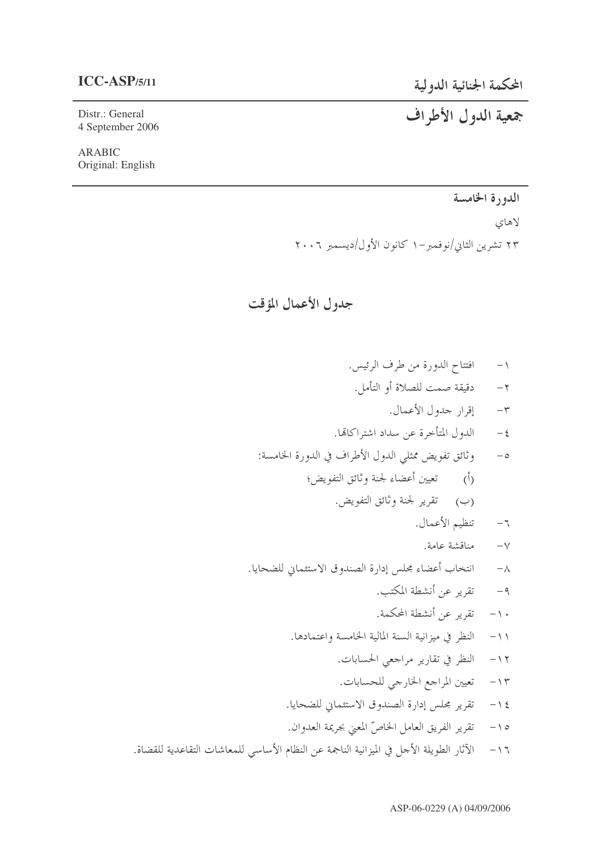### $ICC-ASP/5/11$

Distr.: General 4 September 2006

**ARABIC** Original: English

### المحكمة الجنائية الدولية

# جمعية الدول الأطراف

## الدورة الخامسة

لاهاي

۲۳ تشرین الثانی/نوفمبر –۱ کانون الأول/دیسمبر ۲۰۰۲

جدول الأعمال المؤقت

افتتاح الدورة من طرف الرئيس.  $-1$ ٢- دقيقة صمت للصلاة أو التأمل. ٣- إقرار جدول الأعمال. الدول المتأخرة عن سداد اشتراكاتها.  $-\xi$ وثائق تفويض ممثلي الدول الأطراف في الدورة الخامسة:  $-\circ$ (ب) قفرير لجنة وثائق التفويض. تنظيم الأعمال.  $-7$ مناقشة عامة.  $-\vee$ انتخاب أعضاء مجلس إدارة الصندوق الاستئماني للضحايا.  $-\lambda$ تقرير عن أنشطة المكتب.  $-9$ ١٠- تقرير عن أنشطة المحكمة. ١١- النظر في ميزانية السنة المالية الخامسة واعتمادها. ١٢- النظر في تقارير مراجعي الحسابات. ١٣- تعيين المراجع الخارجي للحسابات. ١٤ - تقرير مجلس إدارة الصندوق الاستئماني للضحايا. تقرير الفريق العامل الخاصِّ المعني بجريمة العدوان.  $-10$ ١٦ - الآثار الطويلة الأجل في الميزانية الناجمة عن النظام الأساسي للمعاشات التقاعدية للقضاة.